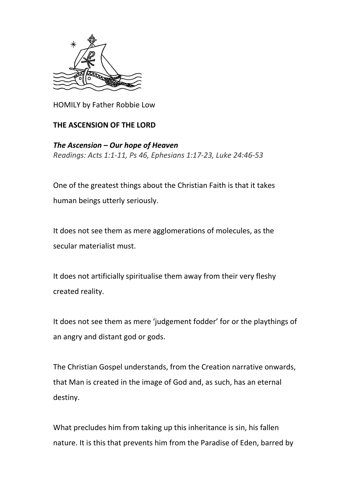

HOMILY by Father Robbie Low

## **THE ASCENSION OF THE LORD**

*The Ascension – Our hope of Heaven Readings: Acts 1:1-11, Ps 46, Ephesians 1:17-23, Luke 24:46-53*

One of the greatest things about the Christian Faith is that it takes human beings utterly seriously.

It does not see them as mere agglomerations of molecules, as the secular materialist must.

It does not artificially spiritualise them away from their very fleshy created reality.

It does not see them as mere 'judgement fodder' for or the playthings of an angry and distant god or gods.

The Christian Gospel understands, from the Creation narrative onwards, that Man is created in the image of God and, as such, has an eternal destiny.

What precludes him from taking up this inheritance is sin, his fallen nature. It is this that prevents him from the Paradise of Eden, barred by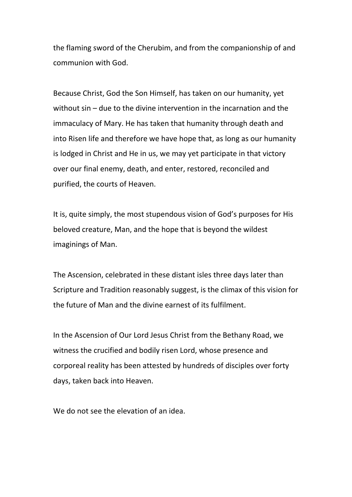the flaming sword of the Cherubim, and from the companionship of and communion with God.

Because Christ, God the Son Himself, has taken on our humanity, yet without sin – due to the divine intervention in the incarnation and the immaculacy of Mary. He has taken that humanity through death and into Risen life and therefore we have hope that, as long as our humanity is lodged in Christ and He in us, we may yet participate in that victory over our final enemy, death, and enter, restored, reconciled and purified, the courts of Heaven.

It is, quite simply, the most stupendous vision of God's purposes for His beloved creature, Man, and the hope that is beyond the wildest imaginings of Man.

The Ascension, celebrated in these distant isles three days later than Scripture and Tradition reasonably suggest, is the climax of this vision for the future of Man and the divine earnest of its fulfilment.

In the Ascension of Our Lord Jesus Christ from the Bethany Road, we witness the crucified and bodily risen Lord, whose presence and corporeal reality has been attested by hundreds of disciples over forty days, taken back into Heaven.

We do not see the elevation of an idea.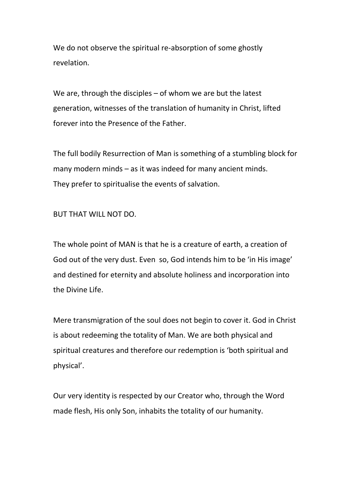We do not observe the spiritual re-absorption of some ghostly revelation.

We are, through the disciples – of whom we are but the latest generation, witnesses of the translation of humanity in Christ, lifted forever into the Presence of the Father.

The full bodily Resurrection of Man is something of a stumbling block for many modern minds – as it was indeed for many ancient minds. They prefer to spiritualise the events of salvation.

BUT THAT WILL NOT DO.

The whole point of MAN is that he is a creature of earth, a creation of God out of the very dust. Even so, God intends him to be 'in His image' and destined for eternity and absolute holiness and incorporation into the Divine Life.

Mere transmigration of the soul does not begin to cover it. God in Christ is about redeeming the totality of Man. We are both physical and spiritual creatures and therefore our redemption is 'both spiritual and physical'.

Our very identity is respected by our Creator who, through the Word made flesh, His only Son, inhabits the totality of our humanity.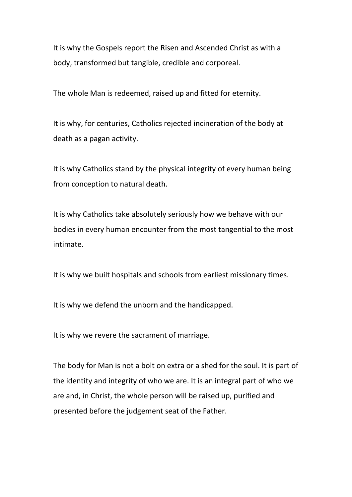It is why the Gospels report the Risen and Ascended Christ as with a body, transformed but tangible, credible and corporeal.

The whole Man is redeemed, raised up and fitted for eternity.

It is why, for centuries, Catholics rejected incineration of the body at death as a pagan activity.

It is why Catholics stand by the physical integrity of every human being from conception to natural death.

It is why Catholics take absolutely seriously how we behave with our bodies in every human encounter from the most tangential to the most intimate.

It is why we built hospitals and schools from earliest missionary times.

It is why we defend the unborn and the handicapped.

It is why we revere the sacrament of marriage.

The body for Man is not a bolt on extra or a shed for the soul. It is part of the identity and integrity of who we are. It is an integral part of who we are and, in Christ, the whole person will be raised up, purified and presented before the judgement seat of the Father.